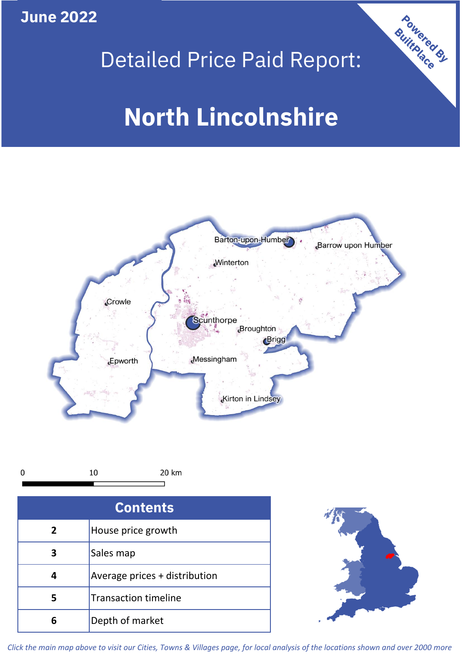**June 2022**



# Detailed Price Paid Report:

# **North Lincolnshire**





| <b>Contents</b> |                               |  |  |
|-----------------|-------------------------------|--|--|
| $\overline{2}$  | House price growth            |  |  |
| 3               | Sales map                     |  |  |
| 4               | Average prices + distribution |  |  |
| 5               | <b>Transaction timeline</b>   |  |  |
| 6               | Depth of market               |  |  |



*Click the main map above to visit our Cities, Towns & Villages page, for local analysis of the locations shown and over 2000 more*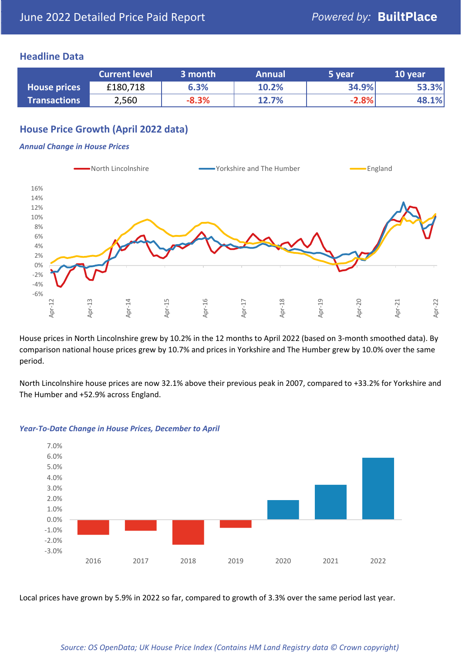#### **Headline Data**

|                     | <b>Current level</b> | 3 month | <b>Annual</b> | 5 year  | 10 year |
|---------------------|----------------------|---------|---------------|---------|---------|
| <b>House prices</b> | £180,718             | 6.3%    | 10.2%         | 34.9%   | 53.3%   |
| <b>Transactions</b> | 2,560                | $-8.3%$ | 12.7%         | $-2.8%$ | 48.1%   |

# **House Price Growth (April 2022 data)**

#### *Annual Change in House Prices*



House prices in North Lincolnshire grew by 10.2% in the 12 months to April 2022 (based on 3-month smoothed data). By comparison national house prices grew by 10.7% and prices in Yorkshire and The Humber grew by 10.0% over the same period.

North Lincolnshire house prices are now 32.1% above their previous peak in 2007, compared to +33.2% for Yorkshire and The Humber and +52.9% across England.



#### *Year-To-Date Change in House Prices, December to April*

Local prices have grown by 5.9% in 2022 so far, compared to growth of 3.3% over the same period last year.

#### *Source: OS OpenData; UK House Price Index (Contains HM Land Registry data © Crown copyright)*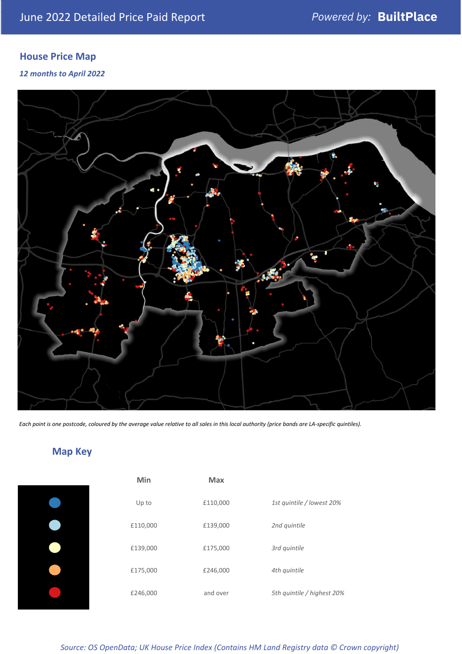# **House Price Map**

*12 months to April 2022*



*Each point is one postcode, coloured by the average value relative to all sales in this local authority (price bands are LA-specific quintiles).*

# **Map Key**

| Min      | <b>Max</b> |                            |
|----------|------------|----------------------------|
| Up to    | £110,000   | 1st quintile / lowest 20%  |
| £110,000 | £139,000   | 2nd quintile               |
| £139,000 | £175,000   | 3rd quintile               |
| £175,000 | £246,000   | 4th quintile               |
| £246,000 | and over   | 5th quintile / highest 20% |
|          |            |                            |

*Source: OS OpenData; UK House Price Index (Contains HM Land Registry data © Crown copyright)*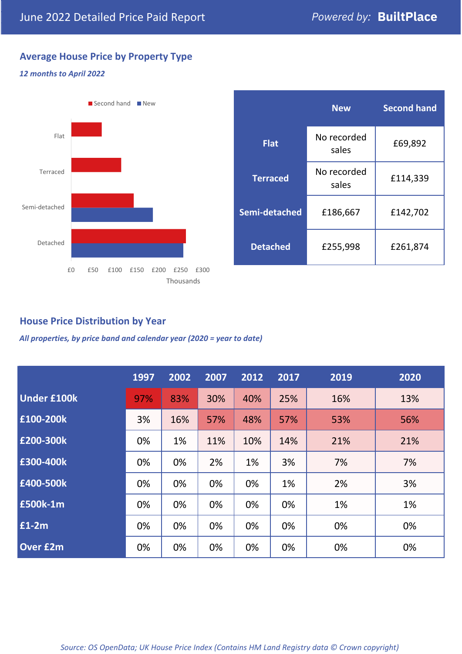# **Average House Price by Property Type**

#### *12 months to April 2022*



|                 | <b>New</b>           | <b>Second hand</b> |  |
|-----------------|----------------------|--------------------|--|
| <b>Flat</b>     | No recorded<br>sales | £69,892            |  |
| <b>Terraced</b> | No recorded<br>sales | £114,339           |  |
| Semi-detached   | £186,667             | £142,702           |  |
| <b>Detached</b> | £255,998             | £261,874           |  |

## **House Price Distribution by Year**

*All properties, by price band and calendar year (2020 = year to date)*

|                    | 1997 | 2002 | 2007 | 2012 | 2017 | 2019 | 2020 |
|--------------------|------|------|------|------|------|------|------|
| <b>Under £100k</b> | 97%  | 83%  | 30%  | 40%  | 25%  | 16%  | 13%  |
| £100-200k          | 3%   | 16%  | 57%  | 48%  | 57%  | 53%  | 56%  |
| £200-300k          | 0%   | 1%   | 11%  | 10%  | 14%  | 21%  | 21%  |
| £300-400k          | 0%   | 0%   | 2%   | 1%   | 3%   | 7%   | 7%   |
| £400-500k          | 0%   | 0%   | 0%   | 0%   | 1%   | 2%   | 3%   |
| <b>£500k-1m</b>    | 0%   | 0%   | 0%   | 0%   | 0%   | 1%   | 1%   |
| £1-2m              | 0%   | 0%   | 0%   | 0%   | 0%   | 0%   | 0%   |
| <b>Over £2m</b>    | 0%   | 0%   | 0%   | 0%   | 0%   | 0%   | 0%   |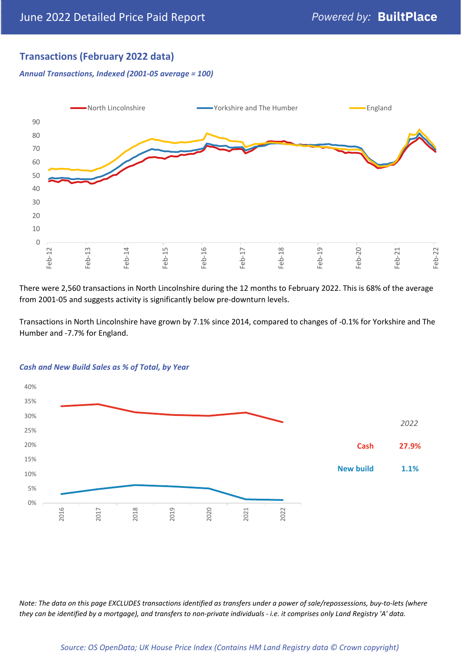# **Transactions (February 2022 data)**

*Annual Transactions, Indexed (2001-05 average = 100)*



There were 2,560 transactions in North Lincolnshire during the 12 months to February 2022. This is 68% of the average from 2001-05 and suggests activity is significantly below pre-downturn levels.

Transactions in North Lincolnshire have grown by 7.1% since 2014, compared to changes of -0.1% for Yorkshire and The Humber and -7.7% for England.



#### *Cash and New Build Sales as % of Total, by Year*

*Note: The data on this page EXCLUDES transactions identified as transfers under a power of sale/repossessions, buy-to-lets (where they can be identified by a mortgage), and transfers to non-private individuals - i.e. it comprises only Land Registry 'A' data.*